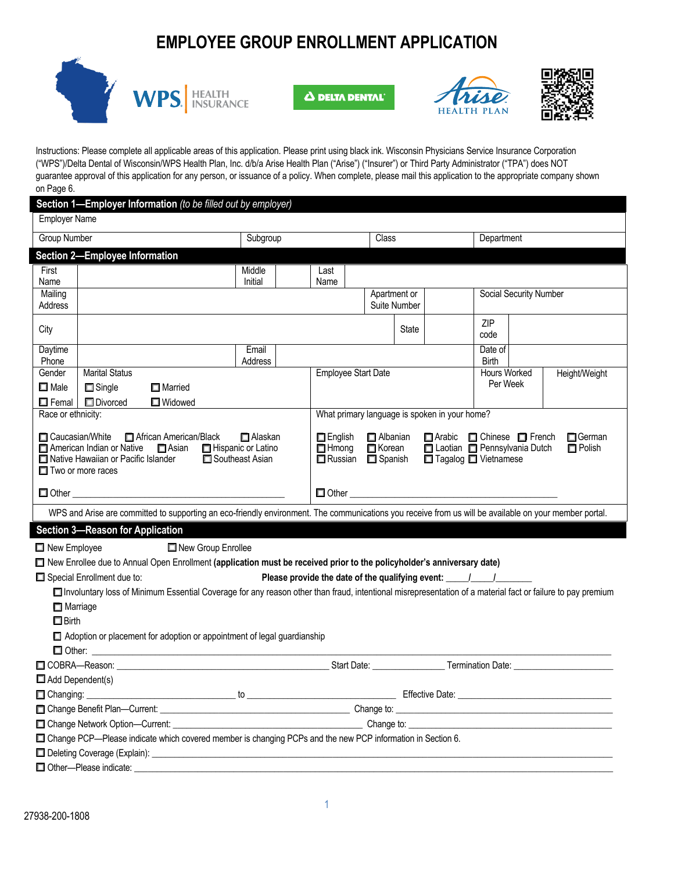# **EMPLOYEE GROUP ENROLLMENT APPLICATION**



Δ DELTA DENTAL





Instructions: Please complete all applicable areas of this application. Please print using black ink. Wisconsin Physicians Service Insurance Corporation ("WPS")/Delta Dental of Wisconsin/WPS Health Plan, Inc. d/b/a Arise Health Plan ("Arise") ("Insurer") or Third Party Administrator ("TPA") does NOT guarantee approval of this application for any person, or issuance of a policy. When complete, please mail this application to the appropriate company shown on Page 6.

|                                                                                                              |                                         | Section 1-Employer Information (to be filled out by employer)                                                                                                                                                                            |                                        |       |                                                                                                                            |                                        |                 |                                |                                                                                   |                              |               |
|--------------------------------------------------------------------------------------------------------------|-----------------------------------------|------------------------------------------------------------------------------------------------------------------------------------------------------------------------------------------------------------------------------------------|----------------------------------------|-------|----------------------------------------------------------------------------------------------------------------------------|----------------------------------------|-----------------|--------------------------------|-----------------------------------------------------------------------------------|------------------------------|---------------|
| <b>Employer Name</b>                                                                                         |                                         |                                                                                                                                                                                                                                          |                                        |       |                                                                                                                            |                                        |                 |                                |                                                                                   |                              |               |
| <b>Group Number</b>                                                                                          |                                         | Subgroup                                                                                                                                                                                                                                 |                                        | Class |                                                                                                                            | Department                             |                 |                                |                                                                                   |                              |               |
|                                                                                                              | <b>Section 2-Employee Information</b>   |                                                                                                                                                                                                                                          |                                        |       |                                                                                                                            |                                        |                 |                                |                                                                                   |                              |               |
| First                                                                                                        |                                         |                                                                                                                                                                                                                                          | Middle                                 |       | Last                                                                                                                       |                                        |                 |                                |                                                                                   |                              |               |
| Name                                                                                                         |                                         |                                                                                                                                                                                                                                          | Initial                                |       | Name                                                                                                                       |                                        |                 |                                |                                                                                   |                              |               |
| Mailing                                                                                                      |                                         |                                                                                                                                                                                                                                          |                                        |       |                                                                                                                            | Social Security Number<br>Apartment or |                 |                                |                                                                                   |                              |               |
| Address                                                                                                      |                                         |                                                                                                                                                                                                                                          |                                        |       |                                                                                                                            |                                        |                 | <b>Suite Number</b>            |                                                                                   |                              |               |
| City                                                                                                         |                                         |                                                                                                                                                                                                                                          |                                        |       |                                                                                                                            |                                        |                 | State                          |                                                                                   | ZIP<br>code                  |               |
| Daytime                                                                                                      |                                         |                                                                                                                                                                                                                                          | Email                                  |       |                                                                                                                            |                                        |                 |                                |                                                                                   | Date of                      |               |
| Phone<br>Gender                                                                                              | <b>Marital Status</b>                   |                                                                                                                                                                                                                                          | Address                                |       | <b>Employee Start Date</b>                                                                                                 |                                        |                 |                                |                                                                                   | <b>Birth</b><br>Hours Worked | Height/Weight |
| $\square$ Male                                                                                               | $\Box$ Single                           | $\Box$ Married                                                                                                                                                                                                                           |                                        |       |                                                                                                                            |                                        |                 |                                |                                                                                   | Per Week                     |               |
| $\Box$ Femal                                                                                                 | <b>Divorced</b>                         | <b>Nidowed</b>                                                                                                                                                                                                                           |                                        |       |                                                                                                                            |                                        |                 |                                |                                                                                   |                              |               |
| Race or ethnicity:                                                                                           |                                         |                                                                                                                                                                                                                                          |                                        |       |                                                                                                                            |                                        |                 |                                | What primary language is spoken in your home?                                     |                              |               |
|                                                                                                              |                                         |                                                                                                                                                                                                                                          |                                        |       |                                                                                                                            |                                        |                 |                                |                                                                                   |                              |               |
|                                                                                                              | □ American Indian or Native             | □ Caucasian/White □ African American/Black<br>$\Box$ Asian                                                                                                                                                                               | $\Box$ Alaskan<br>□ Hispanic or Latino |       | □ Arabic □ Chinese □ French<br>$\Box$ English<br>$\Box$ Albanian<br>□ Korean<br>Laotian Pennsylvania Dutch<br>$\Box$ Hmong |                                        |                 | $\Box$ German<br>$\Box$ Polish |                                                                                   |                              |               |
|                                                                                                              | Native Hawaiian or Pacific Islander     |                                                                                                                                                                                                                                          | □ Southeast Asian                      |       |                                                                                                                            |                                        | Russian Spanish |                                |                                                                                   | □ Tagalog □ Vietnamese       |               |
|                                                                                                              | $\Box$ Two or more races                |                                                                                                                                                                                                                                          |                                        |       |                                                                                                                            |                                        |                 |                                |                                                                                   |                              |               |
|                                                                                                              |                                         | $\Box$ Other $\Box$                                                                                                                                                                                                                      |                                        |       |                                                                                                                            |                                        |                 |                                |                                                                                   | $\Box$ Other $\Box$          |               |
|                                                                                                              |                                         | WPS and Arise are committed to supporting an eco-friendly environment. The communications you receive from us will be available on your member portal.                                                                                   |                                        |       |                                                                                                                            |                                        |                 |                                |                                                                                   |                              |               |
|                                                                                                              | <b>Section 3-Reason for Application</b> |                                                                                                                                                                                                                                          |                                        |       |                                                                                                                            |                                        |                 |                                |                                                                                   |                              |               |
|                                                                                                              |                                         |                                                                                                                                                                                                                                          |                                        |       |                                                                                                                            |                                        |                 |                                |                                                                                   |                              |               |
| New Employee                                                                                                 |                                         | New Group Enrollee                                                                                                                                                                                                                       |                                        |       |                                                                                                                            |                                        |                 |                                |                                                                                   |                              |               |
|                                                                                                              |                                         | □ New Enrollee due to Annual Open Enrollment (application must be received prior to the policyholder's anniversary date)                                                                                                                 |                                        |       |                                                                                                                            |                                        |                 |                                |                                                                                   |                              |               |
|                                                                                                              | $\Box$ Special Enrollment due to:       |                                                                                                                                                                                                                                          |                                        |       |                                                                                                                            |                                        |                 |                                | Please provide the date of the qualifying event: ________________________________ |                              |               |
|                                                                                                              |                                         | Involuntary loss of Minimum Essential Coverage for any reason other than fraud, intentional misrepresentation of a material fact or failure to pay premium                                                                               |                                        |       |                                                                                                                            |                                        |                 |                                |                                                                                   |                              |               |
| $\Box$ Marriage                                                                                              |                                         |                                                                                                                                                                                                                                          |                                        |       |                                                                                                                            |                                        |                 |                                |                                                                                   |                              |               |
| $\square$ Birth                                                                                              |                                         |                                                                                                                                                                                                                                          |                                        |       |                                                                                                                            |                                        |                 |                                |                                                                                   |                              |               |
|                                                                                                              |                                         | $\Box$ Adoption or placement for adoption or appointment of legal guardianship                                                                                                                                                           |                                        |       |                                                                                                                            |                                        |                 |                                |                                                                                   |                              |               |
|                                                                                                              |                                         | <b>Other:</b> <u>Content Communication</u> Content Content Content Content Content Content Content Content Content Content Content Content Content Content Content Content Content Content Content Content Content Content Content Conte |                                        |       |                                                                                                                            |                                        |                 |                                |                                                                                   |                              |               |
|                                                                                                              |                                         | COBRA—Reason: Compared to the COBRA—Reason: Compared to the COBRA—Reason: Compared to the COBRA—Reason:                                                                                                                                  |                                        |       |                                                                                                                            |                                        |                 |                                |                                                                                   |                              |               |
| $\Box$ Add Dependent(s)                                                                                      |                                         |                                                                                                                                                                                                                                          |                                        |       |                                                                                                                            |                                        |                 |                                |                                                                                   |                              |               |
|                                                                                                              |                                         |                                                                                                                                                                                                                                          |                                        |       |                                                                                                                            |                                        |                 |                                |                                                                                   |                              |               |
|                                                                                                              |                                         |                                                                                                                                                                                                                                          |                                        |       |                                                                                                                            |                                        |                 |                                |                                                                                   |                              |               |
|                                                                                                              |                                         |                                                                                                                                                                                                                                          |                                        |       |                                                                                                                            |                                        |                 |                                |                                                                                   |                              |               |
| □ Change PCP—Please indicate which covered member is changing PCPs and the new PCP information in Section 6. |                                         |                                                                                                                                                                                                                                          |                                        |       |                                                                                                                            |                                        |                 |                                |                                                                                   |                              |               |
|                                                                                                              |                                         |                                                                                                                                                                                                                                          |                                        |       |                                                                                                                            |                                        |                 |                                |                                                                                   |                              |               |
|                                                                                                              | Other-Please indicate:                  |                                                                                                                                                                                                                                          |                                        |       |                                                                                                                            |                                        |                 |                                |                                                                                   |                              |               |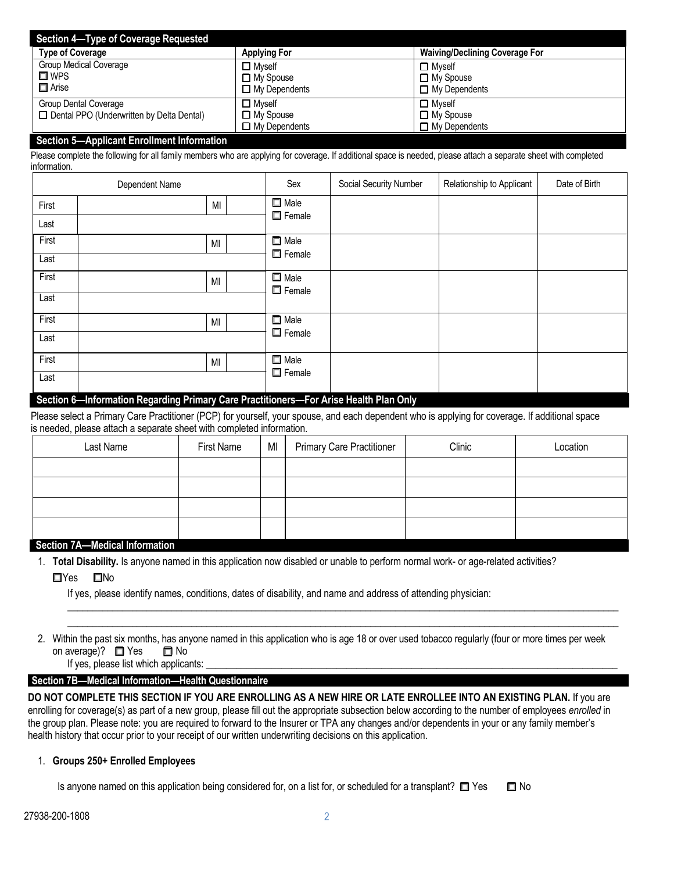| <b>Section 4-Type of Coverage Requested</b> |                                       |  |  |  |  |  |  |
|---------------------------------------------|---------------------------------------|--|--|--|--|--|--|
| <b>Applying For</b>                         | <b>Waiving/Declining Coverage For</b> |  |  |  |  |  |  |
| $\Box$ Myself                               | $\Box$ Mvself                         |  |  |  |  |  |  |
| $\Box$ My Spouse                            | $\Box$ My Spouse                      |  |  |  |  |  |  |
| $\Box$ My Dependents                        | $\Box$ My Dependents                  |  |  |  |  |  |  |
| $\square$ Myself                            | $\Box$ Mvself                         |  |  |  |  |  |  |
| $\Box$ My Spouse                            | $\Box$ My Spouse                      |  |  |  |  |  |  |
| $\Box$ My Dependents                        | $\Box$ My Dependents                  |  |  |  |  |  |  |
|                                             |                                       |  |  |  |  |  |  |

#### **Section 5—Applicant Enrollment Information**

Please complete the following for all family members who are applying for coverage. If additional space is needed, please attach a separate sheet with completed information.

| Dependent Name                                                                        | Sex                          | Social Security Number | Relationship to Applicant | Date of Birth |
|---------------------------------------------------------------------------------------|------------------------------|------------------------|---------------------------|---------------|
| MI<br>First                                                                           | $\Box$ Male                  |                        |                           |               |
| Last                                                                                  | $\Box$ Female                |                        |                           |               |
| First<br>MI                                                                           | $\Box$ Male                  |                        |                           |               |
| Last                                                                                  | $\Box$ Female                |                        |                           |               |
| First<br>MI                                                                           | $\Box$ Male<br>$\Box$ Female |                        |                           |               |
| Last                                                                                  |                              |                        |                           |               |
| First<br>MI                                                                           | $\square$ Male               |                        |                           |               |
| Last                                                                                  | $\Box$ Female                |                        |                           |               |
| First<br>MI                                                                           | $\Box$ Male                  |                        |                           |               |
| Last                                                                                  | $\Box$ Female                |                        |                           |               |
| Section 6 Information Regarding Drimary Care Practitioners For Arise Health Plan Only |                              |                        |                           |               |

#### **Section 6—Information Regarding Primary Care Practitioners—For Arise Health Plan Only**

Please select a Primary Care Practitioner (PCP) for yourself, your spouse, and each dependent who is applying for coverage. If additional space is needed, please attach a separate sheet with completed information.

| Last Name                                    | First Name | MI | <b>Primary Care Practitioner</b> | Clinic | Location |
|----------------------------------------------|------------|----|----------------------------------|--------|----------|
|                                              |            |    |                                  |        |          |
|                                              |            |    |                                  |        |          |
|                                              |            |    |                                  |        |          |
|                                              |            |    |                                  |        |          |
| Constitution of the Manufacture Information. |            |    |                                  |        |          |

#### **Section 7A—Medical Information**

1. **Total Disability.** Is anyone named in this application now disabled or unable to perform normal work- or age-related activities?

 $\square$ Yes  $\square$ No

If yes, please identify names, conditions, dates of disability, and name and address of attending physician:

2. Within the past six months, has anyone named in this application who is age 18 or over used tobacco regularly (four or more times per week on average)?  $\Box$  Yes  $\Box$  No

 $\_$  , and the set of the set of the set of the set of the set of the set of the set of the set of the set of the set of the set of the set of the set of the set of the set of the set of the set of the set of the set of th  $\_$  ,  $\_$  ,  $\_$  ,  $\_$  ,  $\_$  ,  $\_$  ,  $\_$  ,  $\_$  ,  $\_$  ,  $\_$  ,  $\_$  ,  $\_$  ,  $\_$  ,  $\_$  ,  $\_$  ,  $\_$  ,  $\_$  ,  $\_$  ,  $\_$  ,  $\_$  ,  $\_$  ,  $\_$  ,  $\_$  ,  $\_$  ,  $\_$  ,  $\_$  ,  $\_$  ,  $\_$  ,  $\_$  ,  $\_$  ,  $\_$  ,  $\_$  ,  $\_$  ,  $\_$  ,  $\_$  ,  $\_$  ,  $\_$  ,

## If yes, please list which applicants:

## **Section 7B—Medical Information—Health Questionnaire**

**DO NOT COMPLETE THIS SECTION IF YOU ARE ENROLLING AS A NEW HIRE OR LATE ENROLLEE INTO AN EXISTING PLAN.** If you are enrolling for coverage(s) as part of a new group, please fill out the appropriate subsection below according to the number of employees *enrolled* in the group plan. Please note: you are required to forward to the Insurer or TPA any changes and/or dependents in your or any family member's health history that occur prior to your receipt of our written underwriting decisions on this application.

## 1. **Groups 250+ Enrolled Employees**

Is anyone named on this application being considered for, on a list for, or scheduled for a transplant?  $\Box$  Yes  $\Box$  No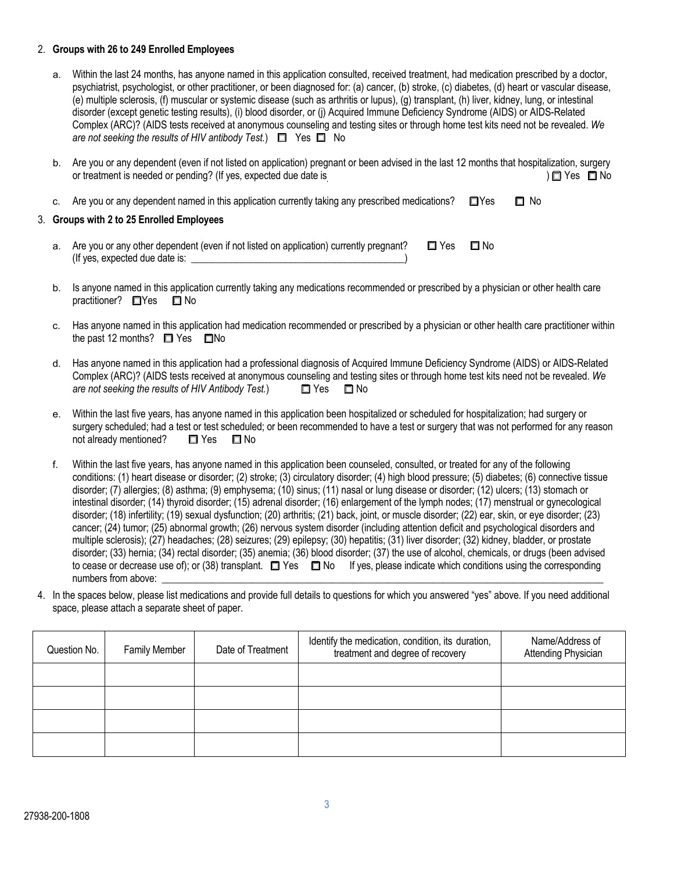#### 2. **Groups with 26 to 249 Enrolled Employees**

- a. Within the last 24 months, has anyone named in this application consulted, received treatment, had medication prescribed by a doctor, psychiatrist, psychologist, or other practitioner, or been diagnosed for: (a) cancer, (b) stroke, (c) diabetes, (d) heart or vascular disease, (e) multiple sclerosis, (f) muscular or systemic disease (such as arthritis or lupus), (g) transplant, (h) liver, kidney, lung, or intestinal disorder (except genetic testing results), (i) blood disorder, or (j) Acquired Immune Deficiency Syndrome (AIDS) or AIDS-Related Complex (ARC)? (AIDS tests received at anonymous counseling and testing sites or through home test kits need not be revealed. *We are not seeking the results of HIV antibody Test.*) □ Yes □ No
- b. Are you or any dependent (even if not listed on application) pregnant or been advised in the last 12 months that hospitalization, surgery or treatment is needed or pending? (If yes, expected due date is  $\Box$ )  $\Box$  Yes  $\Box$  No
- c. Are you or any dependent named in this application currently taking any prescribed medications?  $\square$  Yes  $\square$  No

#### 3. **Groups with 2 to 25 Enrolled Employees**

- a. Are you or any other dependent (even if not listed on application) currently pregnant?  $\square$  Yes  $\square$  No (If yes, expected due date is:
- b. Is anyone named in this application currently taking any medications recommended or prescribed by a physician or other health care practitioner? **QYes Q** No
- c. Has anyone named in this application had medication recommended or prescribed by a physician or other health care practitioner within the past 12 months?  $\Box$  Yes  $\Box$ No
- d. Has anyone named in this application had a professional diagnosis of Acquired Immune Deficiency Syndrome (AIDS) or AIDS-Related Complex (ARC)? (AIDS tests received at anonymous counseling and testing sites or through home test kits need not be revealed. *We are not seeking the results of HIV Antibody Test.*)  $\Box$  Yes  $\Box$  No
- e. Within the last five years, has anyone named in this application been hospitalized or scheduled for hospitalization; had surgery or surgery scheduled; had a test or test scheduled; or been recommended to have a test or surgery that was not performed for any reason not already mentioned?  $\Box$  Yes  $\Box$  No
- f. Within the last five years, has anyone named in this application been counseled, consulted, or treated for any of the following conditions: (1) heart disease or disorder; (2) stroke; (3) circulatory disorder; (4) high blood pressure; (5) diabetes; (6) connective tissue disorder; (7) allergies; (8) asthma; (9) emphysema; (10) sinus; (11) nasal or lung disease or disorder; (12) ulcers; (13) stomach or intestinal disorder; (14) thyroid disorder; (15) adrenal disorder; (16) enlargement of the lymph nodes; (17) menstrual or gynecological disorder; (18) infertility; (19) sexual dysfunction; (20) arthritis; (21) back, joint, or muscle disorder; (22) ear, skin, or eye disorder; (23) cancer; (24) tumor; (25) abnormal growth; (26) nervous system disorder (including attention deficit and psychological disorders and multiple sclerosis); (27) headaches; (28) seizures; (29) epilepsy; (30) hepatitis; (31) liver disorder; (32) kidney, bladder, or prostate disorder; (33) hernia; (34) rectal disorder; (35) anemia; (36) blood disorder; (37) the use of alcohol, chemicals, or drugs (been advised to cease or decrease use of); or (38) transplant.  $\Box$  Yes  $\Box$  No If yes, please indicate which conditions using the corresponding numbers from above:
- 4. In the spaces below, please list medications and provide full details to questions for which you answered "yes" above. If you need additional space, please attach a separate sheet of paper.

| Question No. | <b>Family Member</b> | Date of Treatment | Identify the medication, condition, its duration,<br>treatment and degree of recovery | Name/Address of<br>Attending Physician |
|--------------|----------------------|-------------------|---------------------------------------------------------------------------------------|----------------------------------------|
|              |                      |                   |                                                                                       |                                        |
|              |                      |                   |                                                                                       |                                        |
|              |                      |                   |                                                                                       |                                        |
|              |                      |                   |                                                                                       |                                        |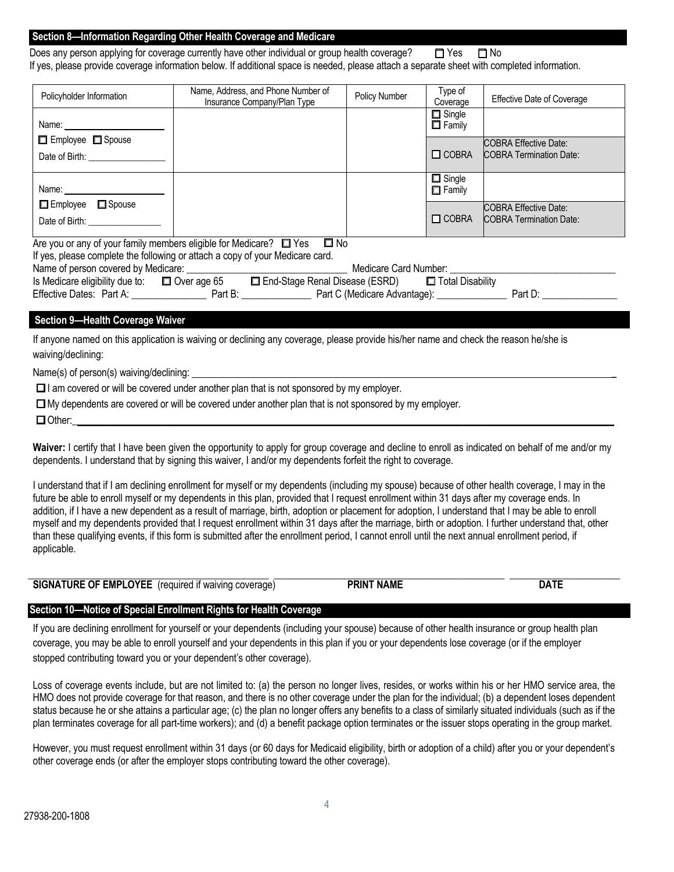#### **Section 8—Information Regarding Other Health Coverage and Medicare**

Does any person applying for coverage currently have other individual or group health coverage?  $\square$  Yes  $\square$  No If yes, please provide coverage information below. If additional space is needed, please attach a separate sheet with completed information.

| Policyholder Information                                                                                                                                   | Name, Address, and Phone Number of<br>Insurance Company/Plan Type                                 | Policy Number | Type of<br>Coverage            | <b>Effective Date of Coverage</b> |  |  |  |
|------------------------------------------------------------------------------------------------------------------------------------------------------------|---------------------------------------------------------------------------------------------------|---------------|--------------------------------|-----------------------------------|--|--|--|
|                                                                                                                                                            |                                                                                                   |               | $\Box$ Single<br>$\Box$ Family |                                   |  |  |  |
| □ Employee □ Spouse                                                                                                                                        |                                                                                                   |               |                                | <b>COBRA Effective Date:</b>      |  |  |  |
| Date of Birth: ____________________                                                                                                                        |                                                                                                   |               | $\Box$ COBRA                   | <b>COBRA Termination Date:</b>    |  |  |  |
|                                                                                                                                                            |                                                                                                   |               | $\Box$ Single<br>$\Box$ Family |                                   |  |  |  |
| □ Employee □ Spouse                                                                                                                                        |                                                                                                   |               |                                | <b>COBRA Effective Date:</b>      |  |  |  |
| Date of Birth: __________________                                                                                                                          |                                                                                                   |               | $\Box$ COBRA                   | <b>COBRA Termination Date:</b>    |  |  |  |
|                                                                                                                                                            | Are you or any of your family members eligible for Medicare? $\Box$ Yes $\Box$ No                 |               |                                |                                   |  |  |  |
|                                                                                                                                                            | If yes, please complete the following or attach a copy of your Medicare card.                     |               |                                |                                   |  |  |  |
|                                                                                                                                                            |                                                                                                   |               |                                |                                   |  |  |  |
|                                                                                                                                                            | Is Medicare eligibility due to: □ Over age 65 □ End-Stage Renal Disease (ESRD) □ Total Disability |               |                                |                                   |  |  |  |
|                                                                                                                                                            |                                                                                                   |               |                                |                                   |  |  |  |
|                                                                                                                                                            |                                                                                                   |               |                                |                                   |  |  |  |
| <b>Section 9-Health Coverage Waiver</b>                                                                                                                    |                                                                                                   |               |                                |                                   |  |  |  |
| If anyone named on this application is waiving or declining any coverage, please provide his/her name and check the reason he/she is<br>waiving/declining: |                                                                                                   |               |                                |                                   |  |  |  |

Name(s) of person(s) waiving/declining: \_

 $\Box$  I am covered or will be covered under another plan that is not sponsored by my employer.

q Other:\_\_\_\_\_\_\_\_\_\_\_\_\_\_\_\_\_\_\_\_\_\_\_\_\_\_\_\_\_\_\_\_\_\_\_\_\_\_\_\_\_\_\_\_\_\_\_\_\_\_\_\_\_\_\_\_\_\_\_\_\_\_\_\_\_\_\_\_\_\_\_\_\_\_\_\_\_\_\_\_\_\_\_\_\_\_\_\_\_\_\_\_\_\_\_\_\_\_\_\_\_\_\_\_\_\_\_\_

**Waiver:** I certify that I have been given the opportunity to apply for group coverage and decline to enroll as indicated on behalf of me and/or my dependents. I understand that by signing this waiver, I and/or my dependents forfeit the right to coverage.

I understand that if I am declining enrollment for myself or my dependents (including my spouse) because of other health coverage, I may in the future be able to enroll myself or my dependents in this plan, provided that I request enrollment within 31 days after my coverage ends. In addition, if I have a new dependent as a result of marriage, birth, adoption or placement for adoption, I understand that I may be able to enroll myself and my dependents provided that I request enrollment within 31 days after the marriage, birth or adoption. I further understand that, other than these qualifying events, if this form is submitted after the enrollment period, I cannot enroll until the next annual enrollment period, if applicable.

| <b><i>E</i></b> OF EMPLOYEE<br><b>TURE</b><br>SIGNA <sup>1</sup> | required if waiving<br>coverage. | <b>NAME</b><br><b>PRIN</b> | <b>DATE</b> |
|------------------------------------------------------------------|----------------------------------|----------------------------|-------------|

#### **Section 10—Notice of Special Enrollment Rights for Health Coverage**

If you are declining enrollment for yourself or your dependents (including your spouse) because of other health insurance or group health plan coverage, you may be able to enroll yourself and your dependents in this plan if you or your dependents lose coverage (or if the employer stopped contributing toward you or your dependent's other coverage).

Loss of coverage events include, but are not limited to: (a) the person no longer lives, resides, or works within his or her HMO service area, the HMO does not provide coverage for that reason, and there is no other coverage under the plan for the individual; (b) a dependent loses dependent status because he or she attains a particular age; (c) the plan no longer offers any benefits to a class of similarly situated individuals (such as if the plan terminates coverage for all part-time workers); and (d) a benefit package option terminates or the issuer stops operating in the group market.

However, you must request enrollment within 31 days (or 60 days for Medicaid eligibility, birth or adoption of a child) after you or your dependent's other coverage ends (or after the employer stops contributing toward the other coverage).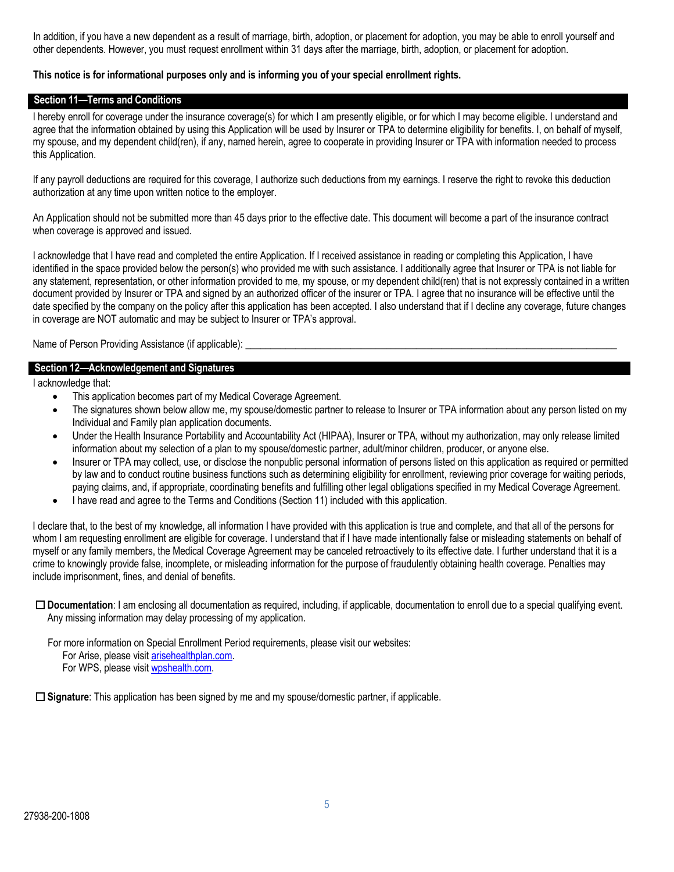In addition, if you have a new dependent as a result of marriage, birth, adoption, or placement for adoption, you may be able to enroll yourself and other dependents. However, you must request enrollment within 31 days after the marriage, birth, adoption, or placement for adoption.

#### **This notice is for informational purposes only and is informing you of your special enrollment rights.**

#### **Section 11—Terms and Conditions**

I hereby enroll for coverage under the insurance coverage(s) for which I am presently eligible, or for which I may become eligible. I understand and agree that the information obtained by using this Application will be used by Insurer or TPA to determine eligibility for benefits. I, on behalf of myself, my spouse, and my dependent child(ren), if any, named herein, agree to cooperate in providing Insurer or TPA with information needed to process this Application.

If any payroll deductions are required for this coverage, I authorize such deductions from my earnings. I reserve the right to revoke this deduction authorization at any time upon written notice to the employer.

An Application should not be submitted more than 45 days prior to the effective date. This document will become a part of the insurance contract when coverage is approved and issued.

I acknowledge that I have read and completed the entire Application. If I received assistance in reading or completing this Application, I have identified in the space provided below the person(s) who provided me with such assistance. I additionally agree that Insurer or TPA is not liable for any statement, representation, or other information provided to me, my spouse, or my dependent child(ren) that is not expressly contained in a written document provided by Insurer or TPA and signed by an authorized officer of the insurer or TPA. I agree that no insurance will be effective until the date specified by the company on the policy after this application has been accepted. I also understand that if I decline any coverage, future changes in coverage are NOT automatic and may be subject to Insurer or TPA's approval.

Name of Person Providing Assistance (if applicable):

#### **Section 12—Acknowledgement and Signatures**

I acknowledge that:

- This application becomes part of my Medical Coverage Agreement.
- The signatures shown below allow me, my spouse/domestic partner to release to Insurer or TPA information about any person listed on my Individual and Family plan application documents.
- Under the Health Insurance Portability and Accountability Act (HIPAA), Insurer or TPA, without my authorization, may only release limited information about my selection of a plan to my spouse/domestic partner, adult/minor children, producer, or anyone else.
- Insurer or TPA may collect, use, or disclose the nonpublic personal information of persons listed on this application as required or permitted by law and to conduct routine business functions such as determining eligibility for enrollment, reviewing prior coverage for waiting periods, paying claims, and, if appropriate, coordinating benefits and fulfilling other legal obligations specified in my Medical Coverage Agreement.
- I have read and agree to the Terms and Conditions (Section 11) included with this application.

I declare that, to the best of my knowledge, all information I have provided with this application is true and complete, and that all of the persons for whom I am requesting enrollment are eligible for coverage. I understand that if I have made intentionally false or misleading statements on behalf of myself or any family members, the Medical Coverage Agreement may be canceled retroactively to its effective date. I further understand that it is a crime to knowingly provide false, incomplete, or misleading information for the purpose of fraudulently obtaining health coverage. Penalties may include imprisonment, fines, and denial of benefits.

□ **Documentation**: I am enclosing all documentation as required, including, if applicable, documentation to enroll due to a special qualifying event. Any missing information may delay processing of my application.

For more information on Special Enrollment Period requirements, please visit our websites: For Arise, please visit arisehealthplan.com. For WPS, please visit wpshealth.com.

□ Signature: This application has been signed by me and my spouse/domestic partner, if applicable.